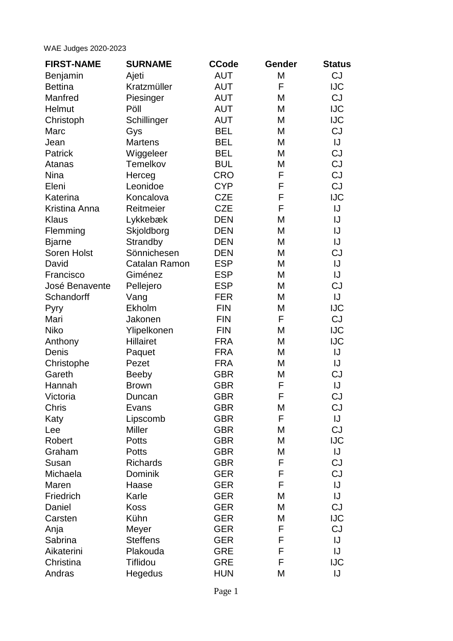## WAE Judges 2020-2023

| <b>AUT</b><br>M<br>Ajeti<br>Benjamin<br>Kratzmüller<br><b>Bettina</b><br><b>AUT</b><br>F<br>Manfred<br>Piesinger<br><b>AUT</b><br>M<br>Helmut<br>Pöll<br><b>AUT</b><br>M<br>Christoph<br><b>AUT</b><br>M<br>Schillinger<br>Marc<br><b>BEL</b><br>M<br>Gys<br><b>Martens</b><br><b>BEL</b><br>M<br>Jean<br><b>BEL</b><br>M<br>Patrick<br>Wiggeleer | <b>CJ</b><br><b>IJC</b><br>CJ<br><b>IJC</b><br><b>IJC</b><br><b>CJ</b><br>IJ<br><b>CJ</b><br>CJ<br>CJ<br>CJ<br><b>IJC</b><br>IJ<br>IJ |
|---------------------------------------------------------------------------------------------------------------------------------------------------------------------------------------------------------------------------------------------------------------------------------------------------------------------------------------------------|---------------------------------------------------------------------------------------------------------------------------------------|
|                                                                                                                                                                                                                                                                                                                                                   |                                                                                                                                       |
|                                                                                                                                                                                                                                                                                                                                                   |                                                                                                                                       |
|                                                                                                                                                                                                                                                                                                                                                   |                                                                                                                                       |
|                                                                                                                                                                                                                                                                                                                                                   |                                                                                                                                       |
|                                                                                                                                                                                                                                                                                                                                                   |                                                                                                                                       |
|                                                                                                                                                                                                                                                                                                                                                   |                                                                                                                                       |
|                                                                                                                                                                                                                                                                                                                                                   |                                                                                                                                       |
|                                                                                                                                                                                                                                                                                                                                                   |                                                                                                                                       |
| Temelkov<br><b>BUL</b><br>M<br>Atanas                                                                                                                                                                                                                                                                                                             |                                                                                                                                       |
| <b>CRO</b><br><b>Nina</b><br>F<br>Herceg                                                                                                                                                                                                                                                                                                          |                                                                                                                                       |
| <b>CYP</b><br>F<br>Eleni<br>Leonidoe                                                                                                                                                                                                                                                                                                              |                                                                                                                                       |
| <b>CZE</b><br>Katerina<br>Koncalova<br>F                                                                                                                                                                                                                                                                                                          |                                                                                                                                       |
| Kristina Anna<br>Reitmeier<br><b>CZE</b><br>F                                                                                                                                                                                                                                                                                                     |                                                                                                                                       |
| Lykkebæk<br><b>DEN</b><br><b>Klaus</b><br>M                                                                                                                                                                                                                                                                                                       |                                                                                                                                       |
| Skjoldborg<br><b>DEN</b><br>M<br>Flemming                                                                                                                                                                                                                                                                                                         | IJ                                                                                                                                    |
| <b>Bjarne</b><br>Strandby<br><b>DEN</b><br>M                                                                                                                                                                                                                                                                                                      | IJ                                                                                                                                    |
| Sönnichesen<br>Soren Holst<br><b>DEN</b><br>M                                                                                                                                                                                                                                                                                                     | CJ                                                                                                                                    |
| <b>ESP</b><br>David<br>Catalan Ramon<br>M                                                                                                                                                                                                                                                                                                         | IJ                                                                                                                                    |
| Giménez<br><b>ESP</b><br>M<br>Francisco                                                                                                                                                                                                                                                                                                           | IJ                                                                                                                                    |
| José Benavente<br>Pellejero<br><b>ESP</b><br>M                                                                                                                                                                                                                                                                                                    | <b>CJ</b>                                                                                                                             |
| <b>FER</b><br>Schandorff<br>Vang<br>M                                                                                                                                                                                                                                                                                                             | IJ                                                                                                                                    |
| <b>FIN</b><br>Ekholm<br>M<br>Pyry                                                                                                                                                                                                                                                                                                                 | <b>IJC</b>                                                                                                                            |
| Mari<br><b>FIN</b><br>F<br>Jakonen                                                                                                                                                                                                                                                                                                                | CJ                                                                                                                                    |
| Ylipelkonen<br><b>FIN</b><br><b>Niko</b><br>M                                                                                                                                                                                                                                                                                                     | <b>IJC</b>                                                                                                                            |
| <b>Hillairet</b><br>Anthony<br><b>FRA</b><br>M                                                                                                                                                                                                                                                                                                    | <b>IJC</b>                                                                                                                            |
| Denis<br><b>FRA</b><br>M<br>Paquet                                                                                                                                                                                                                                                                                                                | IJ                                                                                                                                    |
| <b>FRA</b><br>M<br>Christophe<br>Pezet                                                                                                                                                                                                                                                                                                            | IJ                                                                                                                                    |
| Gareth<br><b>GBR</b><br><b>Beeby</b><br>M                                                                                                                                                                                                                                                                                                         | <b>CJ</b>                                                                                                                             |
| <b>GBR</b><br>F<br>Hannah<br><b>Brown</b>                                                                                                                                                                                                                                                                                                         | IJ                                                                                                                                    |
| <b>GBR</b><br>F<br>Victoria<br>Duncan                                                                                                                                                                                                                                                                                                             | CJ                                                                                                                                    |
| <b>GBR</b><br>Chris<br>M<br>Evans                                                                                                                                                                                                                                                                                                                 | CJ                                                                                                                                    |
| F<br><b>GBR</b><br>Katy<br>Lipscomb                                                                                                                                                                                                                                                                                                               | IJ                                                                                                                                    |
| <b>Miller</b><br><b>GBR</b><br>M<br>Lee                                                                                                                                                                                                                                                                                                           | <b>CJ</b>                                                                                                                             |
| Robert<br><b>GBR</b><br>M<br><b>Potts</b>                                                                                                                                                                                                                                                                                                         | <b>IJC</b>                                                                                                                            |
| Graham<br><b>GBR</b><br><b>Potts</b><br>M                                                                                                                                                                                                                                                                                                         | IJ                                                                                                                                    |
| <b>Richards</b><br><b>GBR</b><br>F<br>Susan                                                                                                                                                                                                                                                                                                       | CJ                                                                                                                                    |
| Michaela<br>Dominik<br>F<br><b>GER</b>                                                                                                                                                                                                                                                                                                            | CJ                                                                                                                                    |
| <b>GER</b><br>F<br>Maren<br>Haase                                                                                                                                                                                                                                                                                                                 | IJ                                                                                                                                    |
| Friedrich<br>Karle<br><b>GER</b><br>M                                                                                                                                                                                                                                                                                                             | IJ                                                                                                                                    |
| Daniel<br><b>Koss</b><br><b>GER</b><br>M                                                                                                                                                                                                                                                                                                          | <b>CJ</b>                                                                                                                             |
| Kühn<br><b>GER</b><br>M<br>Carsten                                                                                                                                                                                                                                                                                                                | <b>IJC</b>                                                                                                                            |
| <b>GER</b><br>F<br>Anja<br>Meyer                                                                                                                                                                                                                                                                                                                  | <b>CJ</b>                                                                                                                             |
| <b>Steffens</b><br><b>GER</b><br>F<br>Sabrina                                                                                                                                                                                                                                                                                                     | IJ                                                                                                                                    |
| Aikaterini<br>Plakouda<br>F<br><b>GRE</b>                                                                                                                                                                                                                                                                                                         | IJ                                                                                                                                    |
| Christina<br><b>Tiflidou</b><br><b>GRE</b><br>F                                                                                                                                                                                                                                                                                                   | <b>IJC</b>                                                                                                                            |
| Andras<br>Hegedus<br><b>HUN</b><br>M                                                                                                                                                                                                                                                                                                              | IJ                                                                                                                                    |

Page 1